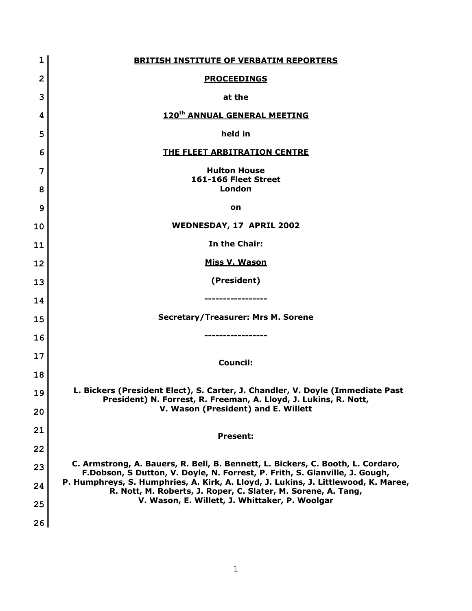| $\mathbf 1$    | <b>BRITISH INSTITUTE OF VERBATIM REPORTERS</b>                                                                                                                 |
|----------------|----------------------------------------------------------------------------------------------------------------------------------------------------------------|
| $\overline{2}$ | <b>PROCEEDINGS</b>                                                                                                                                             |
| 3              | at the                                                                                                                                                         |
| 4              | 120 <sup>th</sup> ANNUAL GENERAL MEETING                                                                                                                       |
| 5              | held in                                                                                                                                                        |
| 6              | THE FLEET ARBITRATION CENTRE                                                                                                                                   |
| 7<br>8         | <b>Hulton House</b><br>161-166 Fleet Street<br>London                                                                                                          |
| 9              | on                                                                                                                                                             |
| 10             | <b>WEDNESDAY, 17 APRIL 2002</b>                                                                                                                                |
| 11             | In the Chair:                                                                                                                                                  |
| 12             | <b>Miss V. Wason</b>                                                                                                                                           |
| 13             | (President)                                                                                                                                                    |
| 14             |                                                                                                                                                                |
| 15             | <b>Secretary/Treasurer: Mrs M. Sorene</b>                                                                                                                      |
| 16             |                                                                                                                                                                |
| 17             | <b>Council:</b>                                                                                                                                                |
| 18             |                                                                                                                                                                |
| 19             | L. Bickers (President Elect), S. Carter, J. Chandler, V. Doyle (Immediate Past<br>President) N. Forrest, R. Freeman, A. Lloyd, J. Lukins, R. Nott,             |
| 20             | V. Wason (President) and E. Willett                                                                                                                            |
| 21             | <b>Present:</b>                                                                                                                                                |
| 22             |                                                                                                                                                                |
| 23             | C. Armstrong, A. Bauers, R. Bell, B. Bennett, L. Bickers, C. Booth, L. Cordaro,<br>F.Dobson, S Dutton, V. Doyle, N. Forrest, P. Frith, S. Glanville, J. Gough, |
| 24             | P. Humphreys, S. Humphries, A. Kirk, A. Lloyd, J. Lukins, J. Littlewood, K. Maree,<br>R. Nott, M. Roberts, J. Roper, C. Slater, M. Sorene, A. Tang,            |
| 25             | V. Wason, E. Willett, J. Whittaker, P. Woolgar                                                                                                                 |
| 26             |                                                                                                                                                                |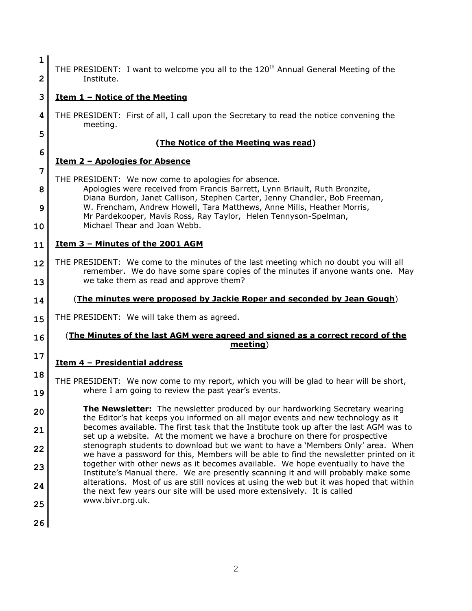| 1       | THE PRESIDENT: I want to welcome you all to the 120 <sup>th</sup> Annual General Meeting of the                                                                                                                   |
|---------|-------------------------------------------------------------------------------------------------------------------------------------------------------------------------------------------------------------------|
| 2       | Institute.                                                                                                                                                                                                        |
| 3       | <u><b>Item 1 - Notice of the Meeting</b></u>                                                                                                                                                                      |
| 4       | THE PRESIDENT: First of all, I call upon the Secretary to read the notice convening the<br>meeting.                                                                                                               |
| 5       | (The Notice of the Meeting was read)                                                                                                                                                                              |
| 6       | <u><b>Item 2 - Apologies for Absence</b></u>                                                                                                                                                                      |
| 7       | THE PRESIDENT: We now come to apologies for absence.                                                                                                                                                              |
| 8       | Apologies were received from Francis Barrett, Lynn Briault, Ruth Bronzite,<br>Diana Burdon, Janet Callison, Stephen Carter, Jenny Chandler, Bob Freeman,                                                          |
| 9<br>10 | W. Frencham, Andrew Howell, Tara Matthews, Anne Mills, Heather Morris,<br>Mr Pardekooper, Mavis Ross, Ray Taylor, Helen Tennyson-Spelman,<br>Michael Thear and Joan Webb.                                         |
| 11      | Item 3 - Minutes of the 2001 AGM                                                                                                                                                                                  |
| 12      | THE PRESIDENT: We come to the minutes of the last meeting which no doubt you will all<br>remember. We do have some spare copies of the minutes if anyone wants one. May<br>we take them as read and approve them? |
| 13      |                                                                                                                                                                                                                   |
| 14      | (The minutes were proposed by Jackie Roper and seconded by Jean Gough)                                                                                                                                            |
| 15      | THE PRESIDENT: We will take them as agreed.                                                                                                                                                                       |
| 16      | <u>(The Minutes of the last AGM were agreed and signed as a correct record of the </u><br>meeting)                                                                                                                |
| 17      | Item 4 - Presidential address                                                                                                                                                                                     |
| 18      | THE PRESIDENT: We now come to my report, which you will be glad to hear will be short,                                                                                                                            |
| 19      | where I am going to review the past year's events.                                                                                                                                                                |
| 20      | The Newsletter: The newsletter produced by our hardworking Secretary wearing<br>the Editor's hat keeps you informed on all major events and new technology as it                                                  |
| 21      | becomes available. The first task that the Institute took up after the last AGM was to<br>set up a website. At the moment we have a brochure on there for prospective                                             |
| 22      | stenograph students to download but we want to have a 'Members Only' area. When<br>we have a password for this, Members will be able to find the newsletter printed on it                                         |
| 23      | together with other news as it becomes available. We hope eventually to have the<br>Institute's Manual there. We are presently scanning it and will probably make some                                            |
| 24      | alterations. Most of us are still novices at using the web but it was hoped that within<br>the next few years our site will be used more extensively. It is called<br>www.bivr.org.uk.                            |
| 25      |                                                                                                                                                                                                                   |
| 26      |                                                                                                                                                                                                                   |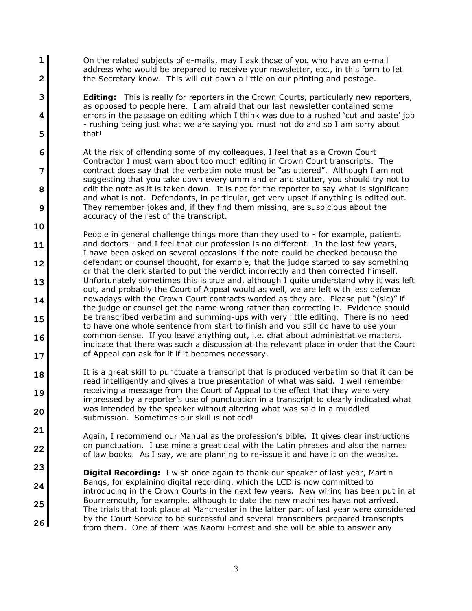**1 2** On the related subjects of e-mails, may I ask those of you who have an e-mail address who would be prepared to receive your newsletter, etc., in this form to let the Secretary know. This will cut down a little on our printing and postage.

**3**

**4**

**5**

**21**

**22**

- **Editing:** This is really for reporters in the Crown Courts, particularly new reporters, as opposed to people here. I am afraid that our last newsletter contained some errors in the passage on editing which I think was due to a rushed 'cut and paste' job - rushing being just what we are saying you must not do and so I am sorry about that!
- **6 7 8 9** At the risk of offending some of my colleagues, I feel that as a Crown Court Contractor I must warn about too much editing in Crown Court transcripts. The contract does say that the verbatim note must be "as uttered". Although I am not suggesting that you take down every umm and er and stutter, you should try not to edit the note as it is taken down. It is not for the reporter to say what is significant and what is not. Defendants, in particular, get very upset if anything is edited out. They remember jokes and, if they find them missing, are suspicious about the accuracy of the rest of the transcript.
- **10 11 12 13 14 15 16 17** People in general challenge things more than they used to - for example, patients and doctors - and I feel that our profession is no different. In the last few years, I have been asked on several occasions if the note could be checked because the defendant or counsel thought, for example, that the judge started to say something or that the clerk started to put the verdict incorrectly and then corrected himself. Unfortunately sometimes this is true and, although I quite understand why it was left out, and probably the Court of Appeal would as well, we are left with less defence nowadays with the Crown Court contracts worded as they are. Please put "(sic)" if the judge or counsel get the name wrong rather than correcting it. Evidence should be transcribed verbatim and summing-ups with very little editing. There is no need to have one whole sentence from start to finish and you still do have to use your common sense. If you leave anything out, i.e. chat about administrative matters, indicate that there was such a discussion at the relevant place in order that the Court of Appeal can ask for it if it becomes necessary.
- **18 19 20** It is a great skill to punctuate a transcript that is produced verbatim so that it can be read intelligently and gives a true presentation of what was said. I well remember receiving a message from the Court of Appeal to the effect that they were very impressed by a reporter's use of punctuation in a transcript to clearly indicated what was intended by the speaker without altering what was said in a muddled submission. Sometimes our skill is noticed!

Again, I recommend our Manual as the profession's bible. It gives clear instructions on punctuation. I use mine a great deal with the Latin phrases and also the names of law books. As I say, we are planning to re-issue it and have it on the website.

**23 24 25 26 Digital Recording:** I wish once again to thank our speaker of last year, Martin Bangs, for explaining digital recording, which the LCD is now committed to introducing in the Crown Courts in the next few years. New wiring has been put in at Bournemouth, for example, although to date the new machines have not arrived. The trials that took place at Manchester in the latter part of last year were considered by the Court Service to be successful and several transcribers prepared transcripts from them. One of them was Naomi Forrest and she will be able to answer any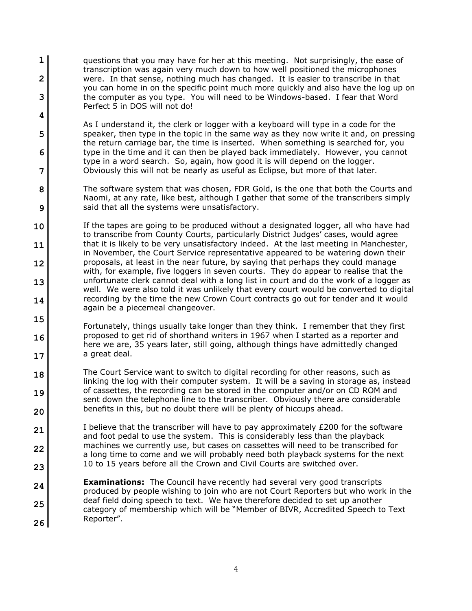**1 2 3** questions that you may have for her at this meeting. Not surprisingly, the ease of transcription was again very much down to how well positioned the microphones were. In that sense, nothing much has changed. It is easier to transcribe in that you can home in on the specific point much more quickly and also have the log up on the computer as you type. You will need to be Windows-based. I fear that Word Perfect 5 in DOS will not do!

- **5 6 7** As I understand it, the clerk or logger with a keyboard will type in a code for the speaker, then type in the topic in the same way as they now write it and, on pressing the return carriage bar, the time is inserted. When something is searched for, you type in the time and it can then be played back immediately. However, you cannot type in a word search. So, again, how good it is will depend on the logger. Obviously this will not be nearly as useful as Eclipse, but more of that later.
- **8 9** The software system that was chosen, FDR Gold, is the one that both the Courts and Naomi, at any rate, like best, although I gather that some of the transcribers simply said that all the systems were unsatisfactory.
- **10 11 12 13 14** If the tapes are going to be produced without a designated logger, all who have had to transcribe from County Courts, particularly District Judges' cases, would agree that it is likely to be very unsatisfactory indeed. At the last meeting in Manchester, in November, the Court Service representative appeared to be watering down their proposals, at least in the near future, by saying that perhaps they could manage with, for example, five loggers in seven courts. They do appear to realise that the unfortunate clerk cannot deal with a long list in court and do the work of a logger as well. We were also told it was unlikely that every court would be converted to digital recording by the time the new Crown Court contracts go out for tender and it would again be a piecemeal changeover.
- **15 16 17** Fortunately, things usually take longer than they think. I remember that they first proposed to get rid of shorthand writers in 1967 when I started as a reporter and here we are, 35 years later, still going, although things have admittedly changed a great deal.
- **18 19 20** The Court Service want to switch to digital recording for other reasons, such as linking the log with their computer system. It will be a saving in storage as, instead of cassettes, the recording can be stored in the computer and/or on CD ROM and sent down the telephone line to the transcriber. Obviously there are considerable benefits in this, but no doubt there will be plenty of hiccups ahead.
- **21 22 23** I believe that the transcriber will have to pay approximately £200 for the software and foot pedal to use the system. This is considerably less than the playback machines we currently use, but cases on cassettes will need to be transcribed for a long time to come and we will probably need both playback systems for the next 10 to 15 years before all the Crown and Civil Courts are switched over.
- **24 25 26 Examinations:** The Council have recently had several very good transcripts produced by people wishing to join who are not Court Reporters but who work in the deaf field doing speech to text. We have therefore decided to set up another category of membership which will be "Member of BIVR, Accredited Speech to Text Reporter".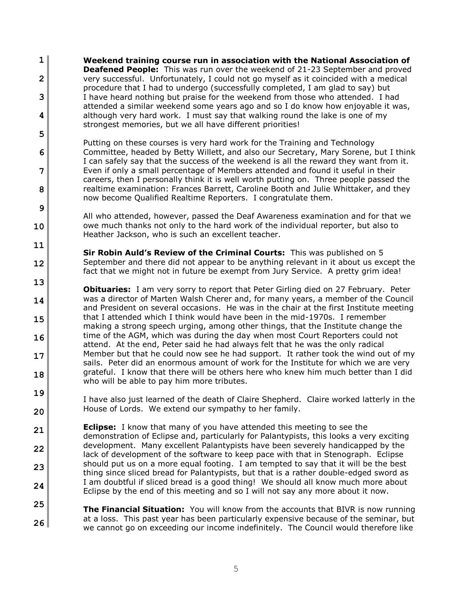**1 2 3 4 Weekend training course run in association with the National Association of Deafened People:** This was run over the weekend of 21-23 September and proved very successful. Unfortunately, I could not go myself as it coincided with a medical procedure that I had to undergo (successfully completed, I am glad to say) but I have heard nothing but praise for the weekend from those who attended. I had attended a similar weekend some years ago and so I do know how enjoyable it was, although very hard work. I must say that walking round the lake is one of my strongest memories, but we all have different priorities!

**5**

**6**

**7**

**8**

**9**

**10**

**11**

**12**

Putting on these courses is very hard work for the Training and Technology Committee, headed by Betty Willett, and also our Secretary, Mary Sorene, but I think I can safely say that the success of the weekend is all the reward they want from it. Even if only a small percentage of Members attended and found it useful in their careers, then I personally think it is well worth putting on. Three people passed the realtime examination: Frances Barrett, Caroline Booth and Julie Whittaker, and they now become Qualified Realtime Reporters. I congratulate them.

All who attended, however, passed the Deaf Awareness examination and for that we owe much thanks not only to the hard work of the individual reporter, but also to Heather Jackson, who is such an excellent teacher.

**Sir Robin Auld's Review of the Criminal Courts:** This was published on 5 September and there did not appear to be anything relevant in it about us except the fact that we might not in future be exempt from Jury Service. A pretty grim idea!

**13 14 15 16 17 18 Obituaries:** I am very sorry to report that Peter Girling died on 27 February. Peter was a director of Marten Walsh Cherer and, for many years, a member of the Council and President on several occasions. He was in the chair at the first Institute meeting that I attended which I think would have been in the mid-1970s. I remember making a strong speech urging, among other things, that the Institute change the time of the AGM, which was during the day when most Court Reporters could not attend. At the end, Peter said he had always felt that he was the only radical Member but that he could now see he had support. It rather took the wind out of my sails. Peter did an enormous amount of work for the Institute for which we are very grateful. I know that there will be others here who knew him much better than I did who will be able to pay him more tributes.

**19 20** I have also just learned of the death of Claire Shepherd. Claire worked latterly in the House of Lords. We extend our sympathy to her family.

**21 22 23 24 Eclipse:** I know that many of you have attended this meeting to see the demonstration of Eclipse and, particularly for Palantypists, this looks a very exciting development. Many excellent Palantypists have been severely handicapped by the lack of development of the software to keep pace with that in Stenograph. Eclipse should put us on a more equal footing. I am tempted to say that it will be the best thing since sliced bread for Palantypists, but that is a rather double-edged sword as I am doubtful if sliced bread is a good thing! We should all know much more about Eclipse by the end of this meeting and so I will not say any more about it now.

**25 26 The Financial Situation:** You will know from the accounts that BIVR is now running at a loss. This past year has been particularly expensive because of the seminar, but we cannot go on exceeding our income indefinitely. The Council would therefore like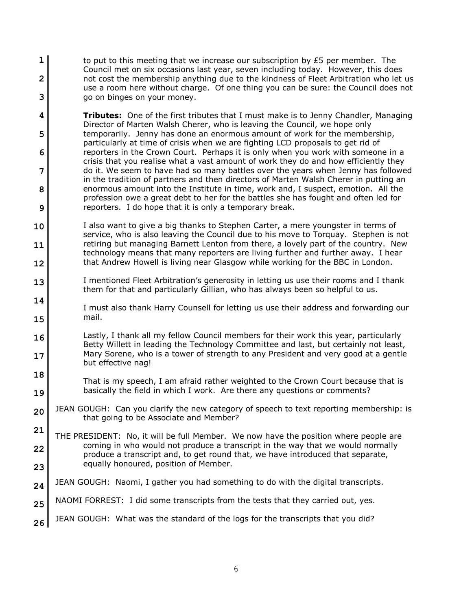- **1 2 3** to put to this meeting that we increase our subscription by  $E_5$  per member. The Council met on six occasions last year, seven including today. However, this does not cost the membership anything due to the kindness of Fleet Arbitration who let us use a room here without charge. Of one thing you can be sure: the Council does not go on binges on your money.
- **4 5 6 7 8 9 Tributes:** One of the first tributes that I must make is to Jenny Chandler, Managing Director of Marten Walsh Cherer, who is leaving the Council, we hope only temporarily. Jenny has done an enormous amount of work for the membership, particularly at time of crisis when we are fighting LCD proposals to get rid of reporters in the Crown Court. Perhaps it is only when you work with someone in a crisis that you realise what a vast amount of work they do and how efficiently they do it. We seem to have had so many battles over the years when Jenny has followed in the tradition of partners and then directors of Marten Walsh Cherer in putting an enormous amount into the Institute in time, work and, I suspect, emotion. All the profession owe a great debt to her for the battles she has fought and often led for reporters. I do hope that it is only a temporary break.
- **10 11 12** I also want to give a big thanks to Stephen Carter, a mere youngster in terms of service, who is also leaving the Council due to his move to Torquay. Stephen is not retiring but managing Barnett Lenton from there, a lovely part of the country. New technology means that many reporters are living further and further away. I hear that Andrew Howell is living near Glasgow while working for the BBC in London.
- **13** I mentioned Fleet Arbitration's generosity in letting us use their rooms and I thank them for that and particularly Gillian, who has always been so helpful to us.
- **14 15** I must also thank Harry Counsell for letting us use their address and forwarding our mail.
- **16 17** Lastly, I thank all my fellow Council members for their work this year, particularly Betty Willett in leading the Technology Committee and last, but certainly not least, Mary Sorene, who is a tower of strength to any President and very good at a gentle but effective nag!
- **18 19** That is my speech, I am afraid rather weighted to the Crown Court because that is basically the field in which I work. Are there any questions or comments?
- **20** JEAN GOUGH: Can you clarify the new category of speech to text reporting membership: is that going to be Associate and Member?
- **21 22 23** THE PRESIDENT: No, it will be full Member. We now have the position where people are coming in who would not produce a transcript in the way that we would normally produce a transcript and, to get round that, we have introduced that separate, equally honoured, position of Member.
- **24** JEAN GOUGH: Naomi, I gather you had something to do with the digital transcripts.
- **25** NAOMI FORREST: I did some transcripts from the tests that they carried out, yes.
- **26** JEAN GOUGH: What was the standard of the logs for the transcripts that you did?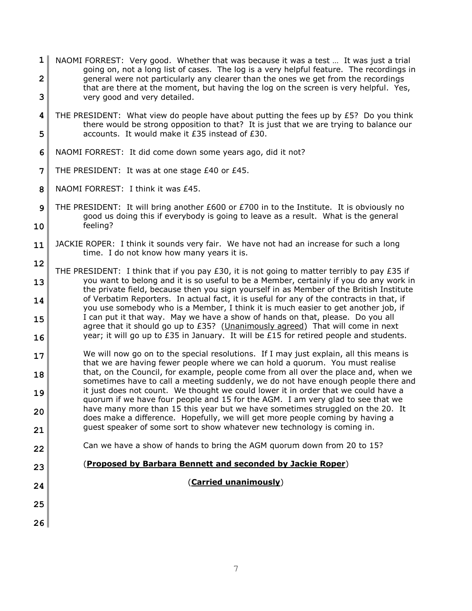- **1 2 3** NAOMI FORREST: Very good. Whether that was because it was a test … It was just a trial going on, not a long list of cases. The log is a very helpful feature. The recordings in general were not particularly any clearer than the ones we get from the recordings that are there at the moment, but having the log on the screen is very helpful. Yes, very good and very detailed.
- **4 5** THE PRESIDENT: What view do people have about putting the fees up by  $£5$ ? Do you think there would be strong opposition to that? It is just that we are trying to balance our accounts. It would make it £35 instead of £30.
- **6** NAOMI FORREST: It did come down some years ago, did it not?
- **7** THE PRESIDENT: It was at one stage £40 or £45.
- **8** NAOMI FORREST: I think it was £45.
- **9 10** THE PRESIDENT: It will bring another £600 or £700 in to the Institute. It is obviously no good us doing this if everybody is going to leave as a result. What is the general feeling?
- **11** JACKIE ROPER: I think it sounds very fair. We have not had an increase for such a long time. I do not know how many years it is.
- **12 13 14 15 16** THE PRESIDENT: I think that if you pay  $E30$ , it is not going to matter terribly to pay  $E35$  if you want to belong and it is so useful to be a Member, certainly if you do any work in the private field, because then you sign yourself in as Member of the British Institute of Verbatim Reporters. In actual fact, it is useful for any of the contracts in that, if you use somebody who is a Member, I think it is much easier to get another job, if I can put it that way. May we have a show of hands on that, please. Do you all agree that it should go up to £35? (Unanimously agreed) That will come in next year; it will go up to £35 in January. It will be £15 for retired people and students.
- **17 18 19 20 21** We will now go on to the special resolutions. If I may just explain, all this means is that we are having fewer people where we can hold a quorum. You must realise that, on the Council, for example, people come from all over the place and, when we sometimes have to call a meeting suddenly, we do not have enough people there and it just does not count. We thought we could lower it in order that we could have a quorum if we have four people and 15 for the AGM. I am very glad to see that we have many more than 15 this year but we have sometimes struggled on the 20. It does make a difference. Hopefully, we will get more people coming by having a guest speaker of some sort to show whatever new technology is coming in.
- **22** Can we have a show of hands to bring the AGM quorum down from 20 to 15?
	- (**Proposed by Barbara Bennett and seconded by Jackie Roper**)
- **24**

**23**

- **25**
- **26**

(**Carried unanimously**)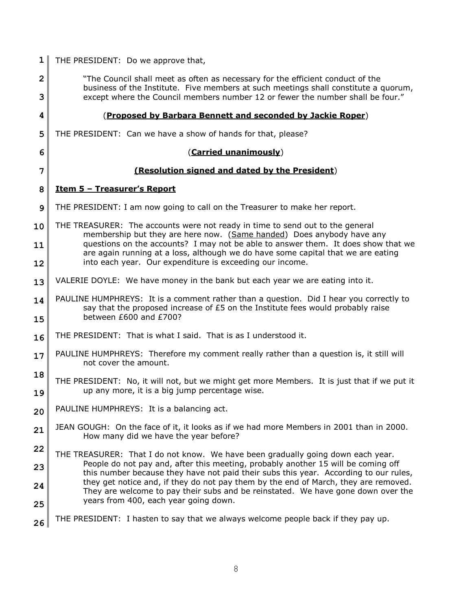| 1      | THE PRESIDENT: Do we approve that,                                                                                                                                                                                                                      |
|--------|---------------------------------------------------------------------------------------------------------------------------------------------------------------------------------------------------------------------------------------------------------|
| 2<br>3 | "The Council shall meet as often as necessary for the efficient conduct of the<br>business of the Institute. Five members at such meetings shall constitute a quorum,<br>except where the Council members number 12 or fewer the number shall be four." |
| 4      | (Proposed by Barbara Bennett and seconded by Jackie Roper)                                                                                                                                                                                              |
| 5      | THE PRESIDENT: Can we have a show of hands for that, please?                                                                                                                                                                                            |
| 6      | (Carried unanimously)                                                                                                                                                                                                                                   |
| 7      | (Resolution signed and dated by the President)                                                                                                                                                                                                          |
| 8      | <u><b>Item 5 - Treasurer's Report</b></u>                                                                                                                                                                                                               |
| 9      | THE PRESIDENT: I am now going to call on the Treasurer to make her report.                                                                                                                                                                              |
| 10     | THE TREASURER: The accounts were not ready in time to send out to the general<br>membership but they are here now. (Same handed) Does anybody have any                                                                                                  |
| 11     | questions on the accounts? I may not be able to answer them. It does show that we<br>are again running at a loss, although we do have some capital that we are eating                                                                                   |
| 12     | into each year. Our expenditure is exceeding our income.                                                                                                                                                                                                |
| 13     | VALERIE DOYLE: We have money in the bank but each year we are eating into it.                                                                                                                                                                           |
| 14     | PAULINE HUMPHREYS: It is a comment rather than a question. Did I hear you correctly to<br>say that the proposed increase of $E5$ on the Institute fees would probably raise<br>between £600 and £700?                                                   |
| 15     | THE PRESIDENT: That is what I said. That is as I understood it.                                                                                                                                                                                         |
| 16     | PAULINE HUMPHREYS: Therefore my comment really rather than a question is, it still will                                                                                                                                                                 |
| 17     | not cover the amount.                                                                                                                                                                                                                                   |
| 18     | THE PRESIDENT: No, it will not, but we might get more Members. It is just that if we put it                                                                                                                                                             |
| 19     | up any more, it is a big jump percentage wise.                                                                                                                                                                                                          |
| 20     | PAULINE HUMPHREYS: It is a balancing act.                                                                                                                                                                                                               |
| 21     | JEAN GOUGH: On the face of it, it looks as if we had more Members in 2001 than in 2000.<br>How many did we have the year before?                                                                                                                        |
| 22     | THE TREASURER: That I do not know. We have been gradually going down each year.                                                                                                                                                                         |
| 23     | People do not pay and, after this meeting, probably another 15 will be coming off<br>this number because they have not paid their subs this year. According to our rules,                                                                               |
| 24     | they get notice and, if they do not pay them by the end of March, they are removed.<br>They are welcome to pay their subs and be reinstated. We have gone down over the                                                                                 |
| 25     | years from 400, each year going down.                                                                                                                                                                                                                   |
| 26     | THE PRESIDENT: I hasten to say that we always welcome people back if they pay up.                                                                                                                                                                       |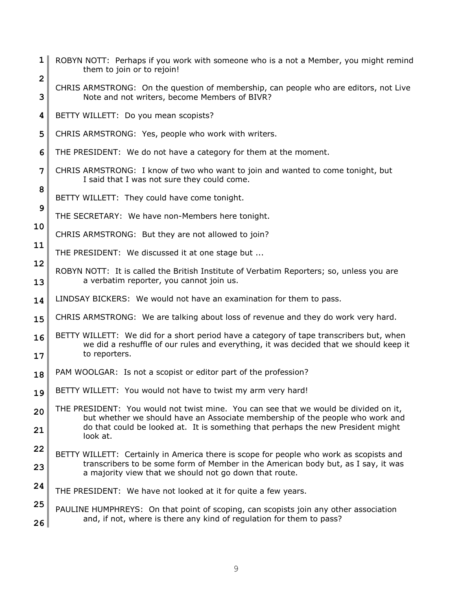- **1 2** ROBYN NOTT: Perhaps if you work with someone who is a not a Member, you might remind them to join or to rejoin!
- **3** CHRIS ARMSTRONG: On the question of membership, can people who are editors, not Live Note and not writers, become Members of BIVR?
- **4** BETTY WILLETT: Do you mean scopists?

- **5** CHRIS ARMSTRONG: Yes, people who work with writers.
- **6** THE PRESIDENT: We do not have a category for them at the moment.
- **7** CHRIS ARMSTRONG: I know of two who want to join and wanted to come tonight, but I said that I was not sure they could come.
	- BETTY WILLETT: They could have come tonight.
- **9** THE SECRETARY: We have non-Members here tonight.
- **10** CHRIS ARMSTRONG: But they are not allowed to join?
- **11** THE PRESIDENT: We discussed it at one stage but ...
- **12 13** ROBYN NOTT: It is called the British Institute of Verbatim Reporters; so, unless you are a verbatim reporter, you cannot join us.
- **14** LINDSAY BICKERS: We would not have an examination for them to pass.
- **15** CHRIS ARMSTRONG: We are talking about loss of revenue and they do work very hard.
- **16 17** BETTY WILLETT: We did for a short period have a category of tape transcribers but, when we did a reshuffle of our rules and everything, it was decided that we should keep it to reporters.
- **18** PAM WOOLGAR: Is not a scopist or editor part of the profession?
- **19** BETTY WILLETT: You would not have to twist my arm very hard!
- **20 21** THE PRESIDENT: You would not twist mine. You can see that we would be divided on it, but whether we should have an Associate membership of the people who work and do that could be looked at. It is something that perhaps the new President might look at.
- **22 23** BETTY WILLETT: Certainly in America there is scope for people who work as scopists and transcribers to be some form of Member in the American body but, as I say, it was a majority view that we should not go down that route.
- **24** THE PRESIDENT: We have not looked at it for quite a few years.
- **25 26** PAULINE HUMPHREYS: On that point of scoping, can scopists join any other association and, if not, where is there any kind of regulation for them to pass?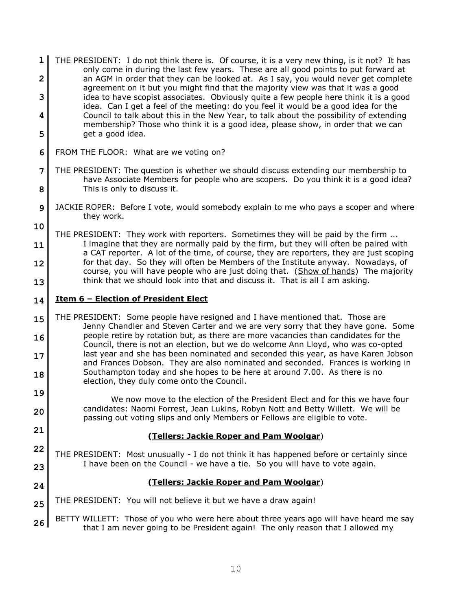- **1 2 3 4 5** THE PRESIDENT: I do not think there is. Of course, it is a very new thing, is it not? It has only come in during the last few years. These are all good points to put forward at an AGM in order that they can be looked at. As I say, you would never get complete agreement on it but you might find that the majority view was that it was a good idea to have scopist associates. Obviously quite a few people here think it is a good idea. Can I get a feel of the meeting: do you feel it would be a good idea for the Council to talk about this in the New Year, to talk about the possibility of extending membership? Those who think it is a good idea, please show, in order that we can get a good idea.
- **6** FROM THE FLOOR: What are we voting on?
- **7 8** THE PRESIDENT: The question is whether we should discuss extending our membership to have Associate Members for people who are scopers. Do you think it is a good idea? This is only to discuss it.
- **9** JACKIE ROPER: Before I vote, would somebody explain to me who pays a scoper and where they work.
- **10 11 12 13** THE PRESIDENT: They work with reporters. Sometimes they will be paid by the firm ... I imagine that they are normally paid by the firm, but they will often be paired with a CAT reporter. A lot of the time, of course, they are reporters, they are just scoping for that day. So they will often be Members of the Institute anyway. Nowadays, of course, you will have people who are just doing that. (Show of hands) The majority think that we should look into that and discuss it. That is all I am asking.

#### **14 Item 6 – Election of President Elect**

**21**

**24**

- **15 16 17 18** THE PRESIDENT: Some people have resigned and I have mentioned that. Those are Jenny Chandler and Steven Carter and we are very sorry that they have gone. Some people retire by rotation but, as there are more vacancies than candidates for the Council, there is not an election, but we do welcome Ann Lloyd, who was co-opted last year and she has been nominated and seconded this year, as have Karen Jobson and Frances Dobson. They are also nominated and seconded. Frances is working in Southampton today and she hopes to be here at around 7.00. As there is no election, they duly come onto the Council.
- **19 20** We now move to the election of the President Elect and for this we have four candidates: Naomi Forrest, Jean Lukins, Robyn Nott and Betty Willett. We will be passing out voting slips and only Members or Fellows are eligible to vote.

# **(Tellers: Jackie Roper and Pam Woolgar**)

**22 23** THE PRESIDENT: Most unusually - I do not think it has happened before or certainly since I have been on the Council - we have a tie. So you will have to vote again.

# **(Tellers: Jackie Roper and Pam Woolgar**)

**25** THE PRESIDENT: You will not believe it but we have a draw again!

**26** BETTY WILLETT: Those of you who were here about three years ago will have heard me say that I am never going to be President again! The only reason that I allowed my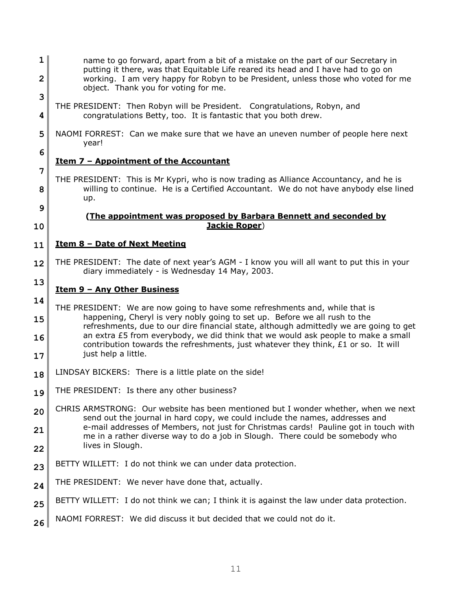- **1 2** name to go forward, apart from a bit of a mistake on the part of our Secretary in putting it there, was that Equitable Life reared its head and I have had to go on working. I am very happy for Robyn to be President, unless those who voted for me object. Thank you for voting for me.
	- THE PRESIDENT: Then Robyn will be President. Congratulations, Robyn, and congratulations Betty, too. It is fantastic that you both drew.
- **5** NAOMI FORREST: Can we make sure that we have an uneven number of people here next year!

# **Item 7 – Appointment of the Accountant**

THE PRESIDENT: This is Mr Kypri, who is now trading as Alliance Accountancy, and he is willing to continue. He is a Certified Accountant. We do not have anybody else lined up.

#### **(The appointment was proposed by Barbara Bennett and seconded by Jackie Roper**)

#### **11 Item 8 – Date of Next Meeting**

**12** THE PRESIDENT: The date of next year's AGM - I know you will all want to put this in your diary immediately - is Wednesday 14 May, 2003.

#### **13 Item 9 – Any Other Business**

**14**

**3**

**4**

**6**

**7**

**8**

**9**

- **15 16 17** THE PRESIDENT: We are now going to have some refreshments and, while that is happening, Cheryl is very nobly going to set up. Before we all rush to the refreshments, due to our dire financial state, although admittedly we are going to get an extra £5 from everybody, we did think that we would ask people to make a small contribution towards the refreshments, just whatever they think, £1 or so. It will just help a little.
- **18** LINDSAY BICKERS: There is a little plate on the side!
- **19** THE PRESIDENT: Is there any other business?
- **20 21 22** CHRIS ARMSTRONG: Our website has been mentioned but I wonder whether, when we next send out the journal in hard copy, we could include the names, addresses and e-mail addresses of Members, not just for Christmas cards! Pauline got in touch with me in a rather diverse way to do a job in Slough. There could be somebody who lives in Slough.
- **23** BETTY WILLETT: I do not think we can under data protection.
- **24** THE PRESIDENT: We never have done that, actually.
- **25** BETTY WILLETT: I do not think we can; I think it is against the law under data protection.
- **26** NAOMI FORREST: We did discuss it but decided that we could not do it.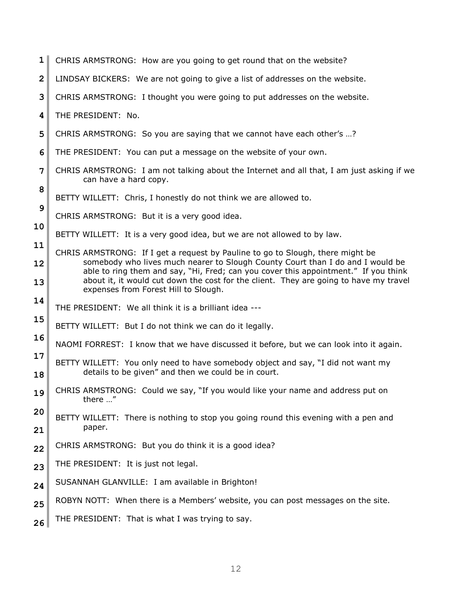| $\mathbf{1}$            | CHRIS ARMSTRONG: How are you going to get round that on the website?                                                                                                                                                                                                                                   |
|-------------------------|--------------------------------------------------------------------------------------------------------------------------------------------------------------------------------------------------------------------------------------------------------------------------------------------------------|
| $\overline{\mathbf{c}}$ | LINDSAY BICKERS: We are not going to give a list of addresses on the website.                                                                                                                                                                                                                          |
| 3                       | CHRIS ARMSTRONG: I thought you were going to put addresses on the website.                                                                                                                                                                                                                             |
| 4                       | THE PRESIDENT: No.                                                                                                                                                                                                                                                                                     |
| 5                       | CHRIS ARMSTRONG: So you are saying that we cannot have each other's ?                                                                                                                                                                                                                                  |
| 6                       | THE PRESIDENT: You can put a message on the website of your own.                                                                                                                                                                                                                                       |
| 7                       | CHRIS ARMSTRONG: I am not talking about the Internet and all that, I am just asking if we<br>can have a hard copy.                                                                                                                                                                                     |
| 8                       | BETTY WILLETT: Chris, I honestly do not think we are allowed to.                                                                                                                                                                                                                                       |
| 9                       | CHRIS ARMSTRONG: But it is a very good idea.                                                                                                                                                                                                                                                           |
| 10                      | BETTY WILLETT: It is a very good idea, but we are not allowed to by law.                                                                                                                                                                                                                               |
| 11                      | CHRIS ARMSTRONG: If I get a request by Pauline to go to Slough, there might be                                                                                                                                                                                                                         |
| 12<br>13                | somebody who lives much nearer to Slough County Court than I do and I would be<br>able to ring them and say, "Hi, Fred; can you cover this appointment." If you think<br>about it, it would cut down the cost for the client. They are going to have my travel<br>expenses from Forest Hill to Slough. |
| 14                      | THE PRESIDENT: We all think it is a brilliant idea ---                                                                                                                                                                                                                                                 |
| 15                      | BETTY WILLETT: But I do not think we can do it legally.                                                                                                                                                                                                                                                |
| 16                      | NAOMI FORREST: I know that we have discussed it before, but we can look into it again.                                                                                                                                                                                                                 |
| 17                      | BETTY WILLETT: You only need to have somebody object and say, "I did not want my                                                                                                                                                                                                                       |
| 18                      | details to be given" and then we could be in court.                                                                                                                                                                                                                                                    |
| 19                      | CHRIS ARMSTRONG: Could we say, "If you would like your name and address put on<br>there "                                                                                                                                                                                                              |
| 20                      | BETTY WILLETT: There is nothing to stop you going round this evening with a pen and                                                                                                                                                                                                                    |
| 21                      | paper.                                                                                                                                                                                                                                                                                                 |
| 22                      | CHRIS ARMSTRONG: But you do think it is a good idea?                                                                                                                                                                                                                                                   |
| 23                      | THE PRESIDENT: It is just not legal.                                                                                                                                                                                                                                                                   |
| 24                      | SUSANNAH GLANVILLE: I am available in Brighton!                                                                                                                                                                                                                                                        |
| 25                      | ROBYN NOTT: When there is a Members' website, you can post messages on the site.                                                                                                                                                                                                                       |
| 26                      | THE PRESIDENT: That is what I was trying to say.                                                                                                                                                                                                                                                       |